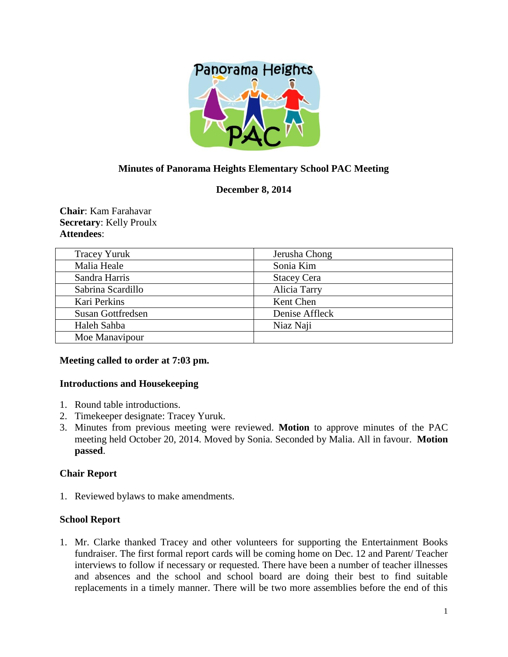

# **Minutes of Panorama Heights Elementary School PAC Meeting**

# **December 8, 2014**

**Chair**: Kam Farahavar **Secretary**: Kelly Proulx **Attendees**:

| <b>Tracey Yuruk</b>      | Jerusha Chong      |
|--------------------------|--------------------|
| Malia Heale              | Sonia Kim          |
| Sandra Harris            | <b>Stacey Cera</b> |
| Sabrina Scardillo        | Alicia Tarry       |
| Kari Perkins             | Kent Chen          |
| <b>Susan Gottfredsen</b> | Denise Affleck     |
| Haleh Sahba              | Niaz Naji          |
| Moe Manavipour           |                    |

## **Meeting called to order at 7:03 pm.**

#### **Introductions and Housekeeping**

- 1. Round table introductions.
- 2. Timekeeper designate: Tracey Yuruk.
- 3. Minutes from previous meeting were reviewed. **Motion** to approve minutes of the PAC meeting held October 20, 2014. Moved by Sonia. Seconded by Malia. All in favour. **Motion passed**.

## **Chair Report**

1. Reviewed bylaws to make amendments.

## **School Report**

1. Mr. Clarke thanked Tracey and other volunteers for supporting the Entertainment Books fundraiser. The first formal report cards will be coming home on Dec. 12 and Parent/ Teacher interviews to follow if necessary or requested. There have been a number of teacher illnesses and absences and the school and school board are doing their best to find suitable replacements in a timely manner. There will be two more assemblies before the end of this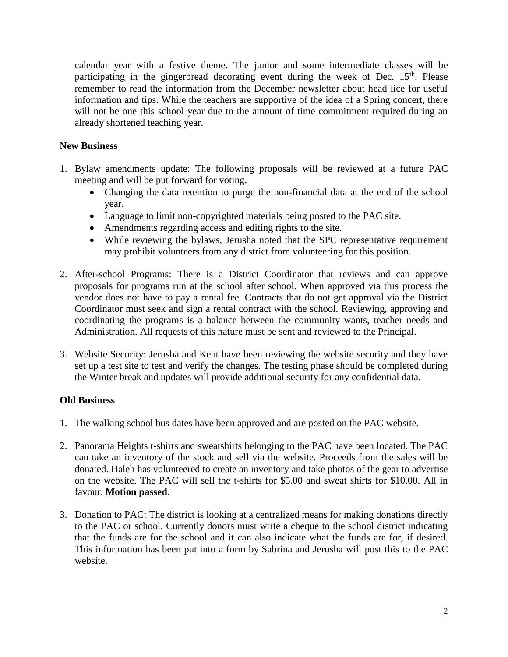calendar year with a festive theme. The junior and some intermediate classes will be participating in the gingerbread decorating event during the week of Dec.  $15<sup>th</sup>$ . Please remember to read the information from the December newsletter about head lice for useful information and tips. While the teachers are supportive of the idea of a Spring concert, there will not be one this school year due to the amount of time commitment required during an already shortened teaching year.

## **New Business**

- 1. Bylaw amendments update: The following proposals will be reviewed at a future PAC meeting and will be put forward for voting.
	- Changing the data retention to purge the non-financial data at the end of the school year.
	- Language to limit non-copyrighted materials being posted to the PAC site.
	- Amendments regarding access and editing rights to the site.
	- While reviewing the bylaws, Jerusha noted that the SPC representative requirement may prohibit volunteers from any district from volunteering for this position.
- 2. After-school Programs: There is a District Coordinator that reviews and can approve proposals for programs run at the school after school. When approved via this process the vendor does not have to pay a rental fee. Contracts that do not get approval via the District Coordinator must seek and sign a rental contract with the school. Reviewing, approving and coordinating the programs is a balance between the community wants, teacher needs and Administration. All requests of this nature must be sent and reviewed to the Principal.
- 3. Website Security: Jerusha and Kent have been reviewing the website security and they have set up a test site to test and verify the changes. The testing phase should be completed during the Winter break and updates will provide additional security for any confidential data.

# **Old Business**

- 1. The walking school bus dates have been approved and are posted on the PAC website.
- 2. Panorama Heights t-shirts and sweatshirts belonging to the PAC have been located. The PAC can take an inventory of the stock and sell via the website. Proceeds from the sales will be donated. Haleh has volunteered to create an inventory and take photos of the gear to advertise on the website. The PAC will sell the t-shirts for \$5.00 and sweat shirts for \$10.00. All in favour. **Motion passed**.
- 3. Donation to PAC: The district is looking at a centralized means for making donations directly to the PAC or school. Currently donors must write a cheque to the school district indicating that the funds are for the school and it can also indicate what the funds are for, if desired. This information has been put into a form by Sabrina and Jerusha will post this to the PAC website.